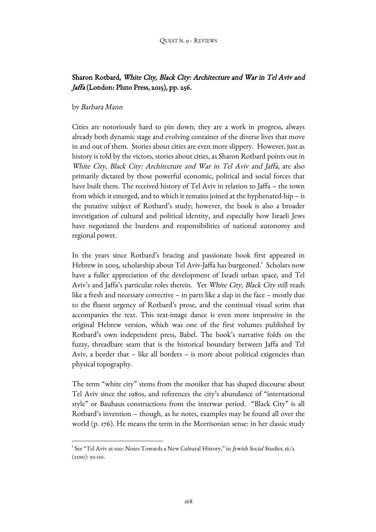# Sharon Rotbard, White City, Black City: Architecture and War in Tel Aviv and Jaffa (London: Pluto Press, 2015), pp. 256.

# by Barbara Mann

Cities are notoriously hard to pin down; they are a work in progress, always already both dynamic stage and evolving container of the diverse lives that move in and out of them. Stories about cities are even more slippery. However, just as history is told by the victors, stories about cities, as Sharon Rotbard points out in White City, Black City: Architecture and War in Tel Aviv and Jaffa, are also primarily dictated by those powerful economic, political and social forces that have built them. The received history of Tel Aviv in relation to Jaffa – the town from which it emerged, and to which it remains joined at the hyphenated-hip – is the putative subject of Rotbard's study; however, the book is also a broader investigation of cultural and political identity, and especially how Israeli Jews have negotiated the burdens and responsibilities of national autonomy and regional power.

In the years since Rotbard's bracing and passionate book first appeared in Hebrew in 2005, scholarship about Tel Aviv-Jaffa has burgeoned.<sup>1</sup> Scholars now have a fuller appreciation of the development of Israeli urban space, and Tel Aviv's and Jaffa's particular roles therein. Yet White City, Black City still reads like a fresh and necessary corrective – in parts like a slap in the face – mostly due to the fluent urgency of Rotbard's prose, and the continual visual scrim that accompanies the text. This text-image dance is even more impressive in the original Hebrew version, which was one of the first volumes published by Rotbard's own independent press, Babel. The book's narrative folds on the fuzzy, threadbare seam that is the historical boundary between Jaffa and Tel Aviv, a border that – like all borders – is more about political exigencies than physical topography.

The term "white city" stems from the moniker that has shaped discourse about Tel Aviv since the 1980s, and references the city's abundance of "international style" or Bauhaus constructions from the interwar period. "Black City" is all Rotbard's invention – though, as he notes, examples may be found all over the world (p. 176). He means the term in the Morrisonian sense: in her classic study

<sup>|&</sup>lt;br>1 <sup>1</sup> See "Tel Aviv at 100: Notes Towards a New Cultural History," in *Jewish Social Studies*, 16/2 (2010): 93-110.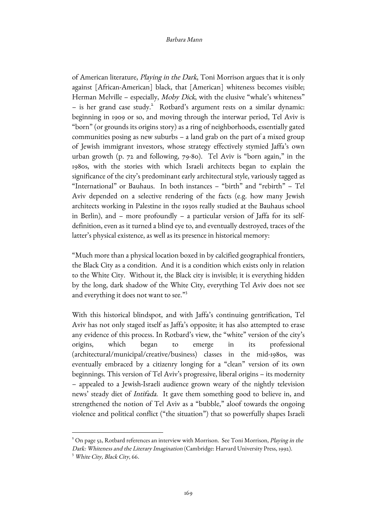#### Barbara Mann

of American literature, Playing in the Dark, Toni Morrison argues that it is only against [African-American] black, that [American] whiteness becomes visible; Herman Melville – especially, Moby Dick, with the elusive "whale's whiteness"  $-$  is her grand case study.<sup>2</sup> Rotbard's argument rests on a similar dynamic: beginning in 1909 or so, and moving through the interwar period, Tel Aviv is "born" (or grounds its origins story) as a ring of neighborhoods, essentially gated communities posing as new suburbs – a land grab on the part of a mixed group of Jewish immigrant investors, whose strategy effectively stymied Jaffa's own urban growth (p. 72 and following, 79-80). Tel Aviv is "born again," in the 1980s, with the stories with which Israeli architects began to explain the significance of the city's predominant early architectural style, variously tagged as "International" or Bauhaus. In both instances – "birth" and "rebirth" – Tel Aviv depended on a selective rendering of the facts (e.g. how many Jewish architects working in Palestine in the 1930s really studied at the Bauhaus school in Berlin), and – more profoundly – a particular version of Jaffa for its selfdefinition, even as it turned a blind eye to, and eventually destroyed, traces of the latter's physical existence, as well as its presence in historical memory:

"Much more than a physical location boxed in by calcified geographical frontiers, the Black City as a condition. And it is a condition which exists only in relation to the White City. Without it, the Black city is invisible; it is everything hidden by the long, dark shadow of the White City, everything Tel Aviv does not see and everything it does not want to see."3

With this historical blindspot, and with Jaffa's continuing gentrification, Tel Aviv has not only staged itself as Jaffa's opposite; it has also attempted to erase any evidence of this process. In Rotbard's view, the "white" version of the city's origins, which began to emerge in its professional (architectural/municipal/creative/business) classes in the mid-1980s, was eventually embraced by a citizenry longing for a "clean" version of its own beginnings. This version of Tel Aviv's progressive, liberal origins – its modernity – appealed to a Jewish-Israeli audience grown weary of the nightly television news' steady diet of Intifada. It gave them something good to believe in, and strengthened the notion of Tel Aviv as a "bubble," aloof towards the ongoing violence and political conflict ("the situation") that so powerfully shapes Israeli

 $\overline{a}$ 

 $^2$  On page 52, Rotbard references an interview with Morrison. See Toni Morrison, *Playing in the* Dark: Whiteness and the Literary Imagination (Cambridge: Harvard University Press, 1992). <sup>3</sup> White City, Black City, 66.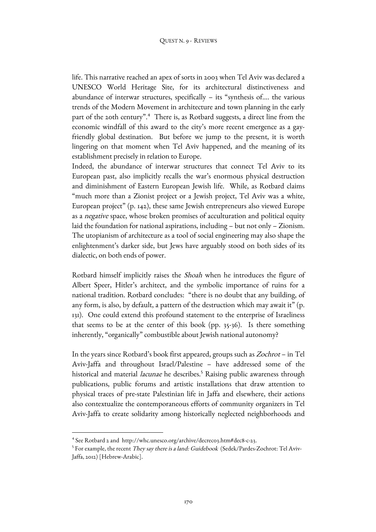life. This narrative reached an apex of sorts in 2003 when Tel Aviv was declared a UNESCO World Heritage Site, for its architectural distinctiveness and abundance of interwar structures, specifically – its "synthesis of…. the various trends of the Modern Movement in architecture and town planning in the early part of the 20th century".<sup>4</sup> There is, as Rotbard suggests, a direct line from the economic windfall of this award to the city's more recent emergence as a gayfriendly global destination. But before we jump to the present, it is worth lingering on that moment when Tel Aviv happened, and the meaning of its establishment precisely in relation to Europe.

Indeed, the abundance of interwar structures that connect Tel Aviv to its European past, also implicitly recalls the war's enormous physical destruction and diminishment of Eastern European Jewish life. While, as Rotbard claims "much more than a Zionist project or a Jewish project, Tel Aviv was a white, European project" (p. 142), these same Jewish entrepreneurs also viewed Europe as a negative space, whose broken promises of acculturation and political equity laid the foundation for national aspirations, including – but not only – Zionism. The utopianism of architecture as a tool of social engineering may also shape the enlightenment's darker side, but Jews have arguably stood on both sides of its dialectic, on both ends of power.

Rotbard himself implicitly raises the Shoah when he introduces the figure of Albert Speer, Hitler's architect, and the symbolic importance of ruins for a national tradition. Rotbard concludes: "there is no doubt that any building, of any form, is also, by default, a pattern of the destruction which may await it" (p. 131). One could extend this profound statement to the enterprise of Israeliness that seems to be at the center of this book (pp. 35-36). Is there something inherently, "organically" combustible about Jewish national autonomy?

In the years since Rotbard's book first appeared, groups such as Zochrot – in Tel Aviv-Jaffa and throughout Israel/Palestine – have addressed some of the historical and material *lacunae* he describes.<sup>5</sup> Raising public awareness through publications, public forums and artistic installations that draw attention to physical traces of pre-state Palestinian life in Jaffa and elsewhere, their actions also contextualize the contemporaneous efforts of community organizers in Tel Aviv-Jaffa to create solidarity among historically neglected neighborhoods and

 $\overline{a}$ 

<sup>4</sup> See Rotbard 2 and http://whc.unesco.org/archive/decrec03.htm#dec8-c-23.

<sup>&</sup>lt;sup>5</sup> For example, the recent *They say there is a land: Guidebook (S*edek/Pardes-Zochrot: Tel Aviv-Jaffa, 2012) [Hebrew-Arabic].